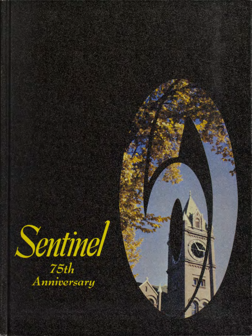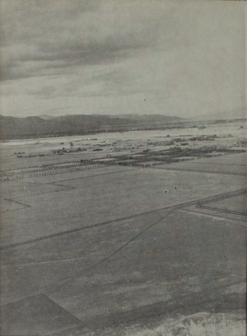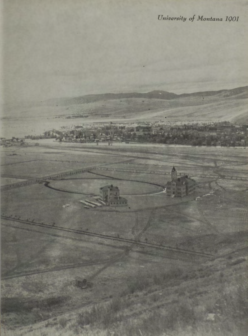VAV.

**ASSESSMENT**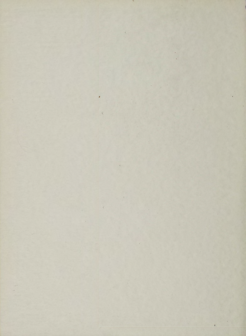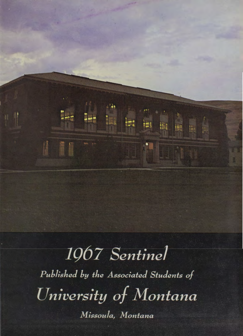## 1967 Sentinel Published by the Associated Students of University of Montana Missoula, Montana

**Fill** 

ie:

ing.

U.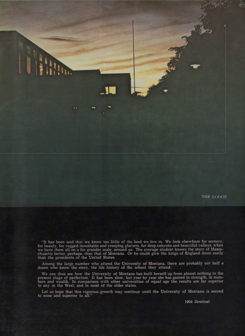THE LODGE

"It has been said that we know too little of the land we live in. We look elsewhere for scenery, for beauty, for respecting glaciers, for deep canyons and beautiful valleys, when we have them all on a far grander scale, ar

Among the large number who attend the University of Montana, there are probably not half a dozen who know the story, the life history of the school they attend. . . .

We can thus see how the University of Montana has built herself up from almost nothing to the present stage of perfection. It has been slow, but year by year she has gained in strength, in numbers and wealth. In comparison

Let us hope that this vigorous growth may continue until the University of Montana is second to none and superior to all.

1904 *Sentinel*